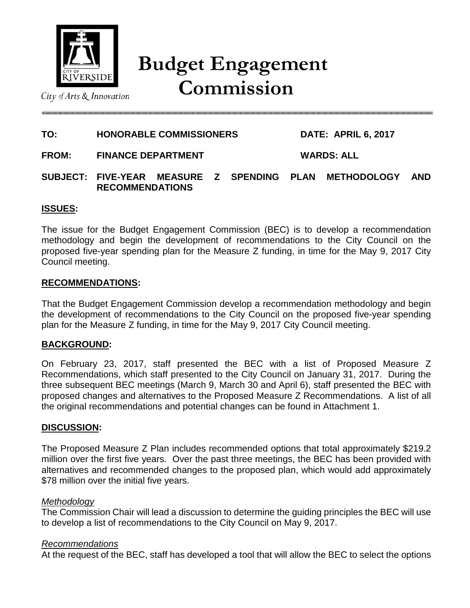

# **Budget Engagement Commission**

City of Arts & Innovation

#### **TO: HONORABLE COMMISSIONERS DATE: APRIL 6, 2017**

**FROM: FINANCE DEPARTMENT WARDS: ALL**

**SUBJECT: FIVE-YEAR MEASURE Z SPENDING PLAN METHODOLOGY AND RECOMMENDATIONS** 

### **ISSUES:**

The issue for the Budget Engagement Commission (BEC) is to develop a recommendation methodology and begin the development of recommendations to the City Council on the proposed five-year spending plan for the Measure Z funding, in time for the May 9, 2017 City Council meeting.

#### **RECOMMENDATIONS:**

That the Budget Engagement Commission develop a recommendation methodology and begin the development of recommendations to the City Council on the proposed five-year spending plan for the Measure Z funding, in time for the May 9, 2017 City Council meeting.

### **BACKGROUND:**

On February 23, 2017, staff presented the BEC with a list of Proposed Measure Z Recommendations, which staff presented to the City Council on January 31, 2017. During the three subsequent BEC meetings (March 9, March 30 and April 6), staff presented the BEC with proposed changes and alternatives to the Proposed Measure Z Recommendations. A list of all the original recommendations and potential changes can be found in Attachment 1.

### **DISCUSSION:**

The Proposed Measure Z Plan includes recommended options that total approximately \$219.2 million over the first five years. Over the past three meetings, the BEC has been provided with alternatives and recommended changes to the proposed plan, which would add approximately \$78 million over the initial five years.

#### *Methodology*

The Commission Chair will lead a discussion to determine the guiding principles the BEC will use to develop a list of recommendations to the City Council on May 9, 2017.

### *Recommendations*

At the request of the BEC, staff has developed a tool that will allow the BEC to select the options